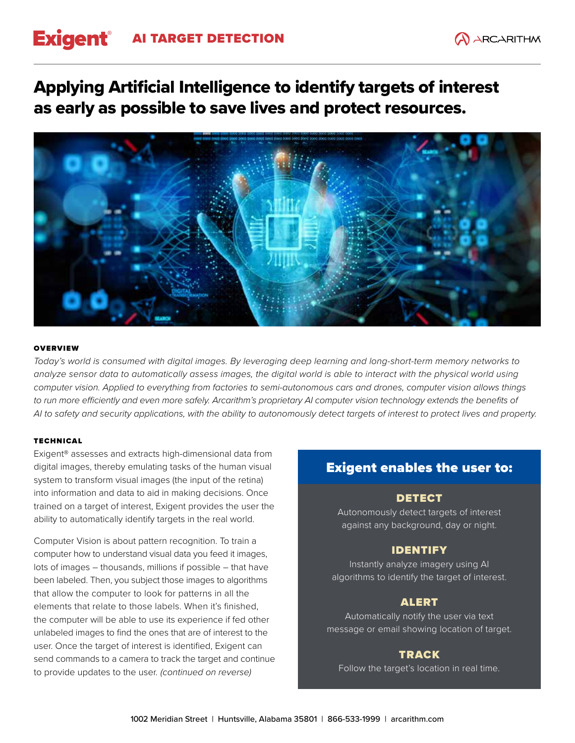# Exigent<sup>®</sup> AI TARGET DETECTION

## Applying Artificial Intelligence to identify targets of interest as early as possible to save lives and protect resources.



### **OVERVIEW**

*Today's world is consumed with digital images. By leveraging deep learning and long-short-term memory networks to analyze sensor data to automatically assess images, the digital world is able to interact with the physical world using computer vision. Applied to everything from factories to semi-autonomous cars and drones, computer vision allows things*  to run more efficiently and even more safely. Arcarithm's proprietary AI computer vision technology extends the benefits of *AI to safety and security applications, with the ability to autonomously detect targets of interest to protect lives and property.*

## TECHNICAL

Exigent® assesses and extracts high-dimensional data from digital images, thereby emulating tasks of the human visual system to transform visual images (the input of the retina) into information and data to aid in making decisions. Once trained on a target of interest, Exigent provides the user the ability to automatically identify targets in the real world.

Computer Vision is about pattern recognition. To train a computer how to understand visual data you feed it images, lots of images – thousands, millions if possible – that have been labeled. Then, you subject those images to algorithms that allow the computer to look for patterns in all the elements that relate to those labels. When it's finished, the computer will be able to use its experience if fed other unlabeled images to find the ones that are of interest to the user. Once the target of interest is identified, Exigent can send commands to a camera to track the target and continue to provide updates to the user. *(continued on reverse)* 

## Exigent enables the user to:

## DETECT

Autonomously detect targets of interest against any background, day or night.

## IDENTIFY

Instantly analyze imagery using AI algorithms to identify the target of interest.

## ALERT

Automatically notify the user via text message or email showing location of target.

## TRACK

Follow the target's location in real time.